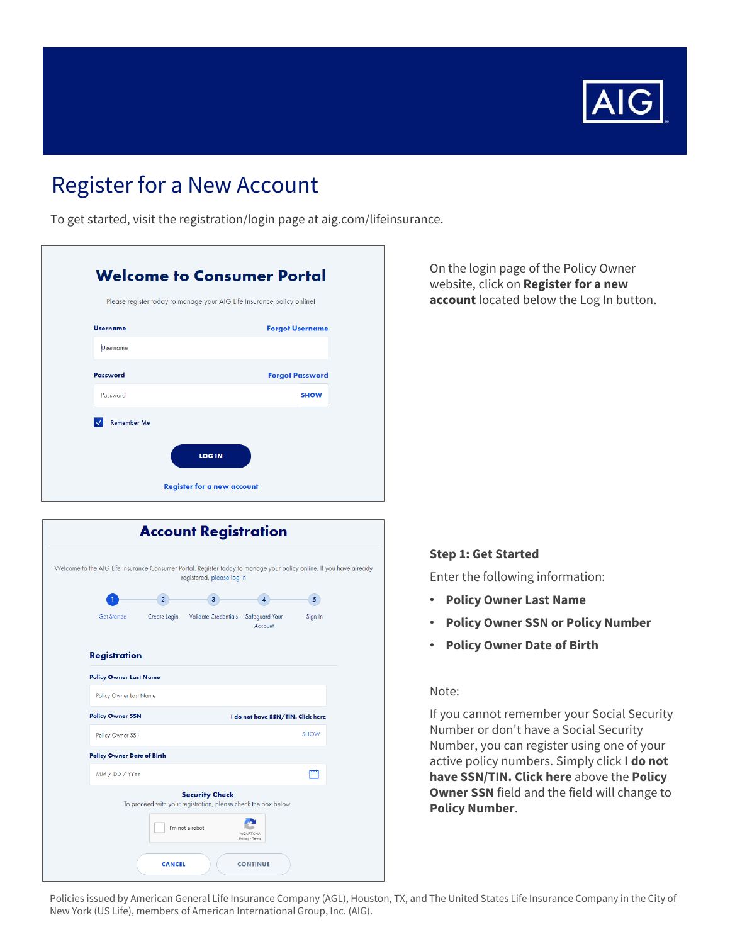

# **Register for a New Account**

To get started, visit the registration/login page at aig.com/lifeinsurance.

|                    | Please register today to manage your AIG Life Insurance policy online! |
|--------------------|------------------------------------------------------------------------|
| <b>Username</b>    | <b>Forgot Username</b>                                                 |
| <b>Username</b>    |                                                                        |
| Password           | <b>Forgot Password</b>                                                 |
| Password           | <b>SHOW</b>                                                            |
| <b>Remember Me</b> |                                                                        |
| <b>LOG IN</b>      |                                                                        |

|                                                                                                                     |                | <b>Account Registration</b>                                                             |                                   |                |  |
|---------------------------------------------------------------------------------------------------------------------|----------------|-----------------------------------------------------------------------------------------|-----------------------------------|----------------|--|
| Welcome to the AIG Life Insurance Consumer Portal. Register today to manage your policy online. If you have already |                | registered, please log in                                                               |                                   |                |  |
|                                                                                                                     | 2 <sup>1</sup> | 3                                                                                       | 4                                 | 5 <sup>1</sup> |  |
| <b>Get Started</b>                                                                                                  | Create Login   | Validate Credentials                                                                    | Safeguard Your<br>Account         | Sign In        |  |
| <b>Registration</b>                                                                                                 |                |                                                                                         |                                   |                |  |
| <b>Policy Owner Last Name</b>                                                                                       |                |                                                                                         |                                   |                |  |
| Policy Owner Last Name                                                                                              |                |                                                                                         |                                   |                |  |
| <b>Policy Owner SSN</b>                                                                                             |                |                                                                                         | I do not have SSN/TIN. Click here |                |  |
| Policy Owner SSN                                                                                                    |                |                                                                                         |                                   | <b>SHOW</b>    |  |
| <b>Policy Owner Date of Birth</b>                                                                                   |                |                                                                                         |                                   |                |  |
| MM / DD / YYYY                                                                                                      |                |                                                                                         |                                   | 鬥              |  |
|                                                                                                                     |                | <b>Security Check</b><br>To proceed with your registration, please check the box below. |                                   |                |  |
|                                                                                                                     |                | I'm not a robot                                                                         | reCAPTCHA<br>Privacy - Terms      |                |  |
|                                                                                                                     | <b>CANCEL</b>  |                                                                                         | <b>CONTINUE</b>                   |                |  |

On the login page of the Policy Owner website, click on Register for a new account located below the Log In button.

#### **Step 1: Get Started**

Enter the following information:

- **Policy Owner Last Name**  $\bullet$
- **Policy Owner SSN or Policy Number**
- Policy Owner Date of Birth

#### Note:

If you cannot remember your Social Security Number or don't have a Social Security Number, you can register using one of your active policy numbers. Simply click I do not have SSN/TIN. Click here above the Policy Owner SSN field and the field will change to **Policy Number.** 

Policies issued by American General Life Insurance Company (AGL), Houston, TX, and The United States Life Insurance Company in the City of New York (US Life), members of American International Group, Inc. (AIG).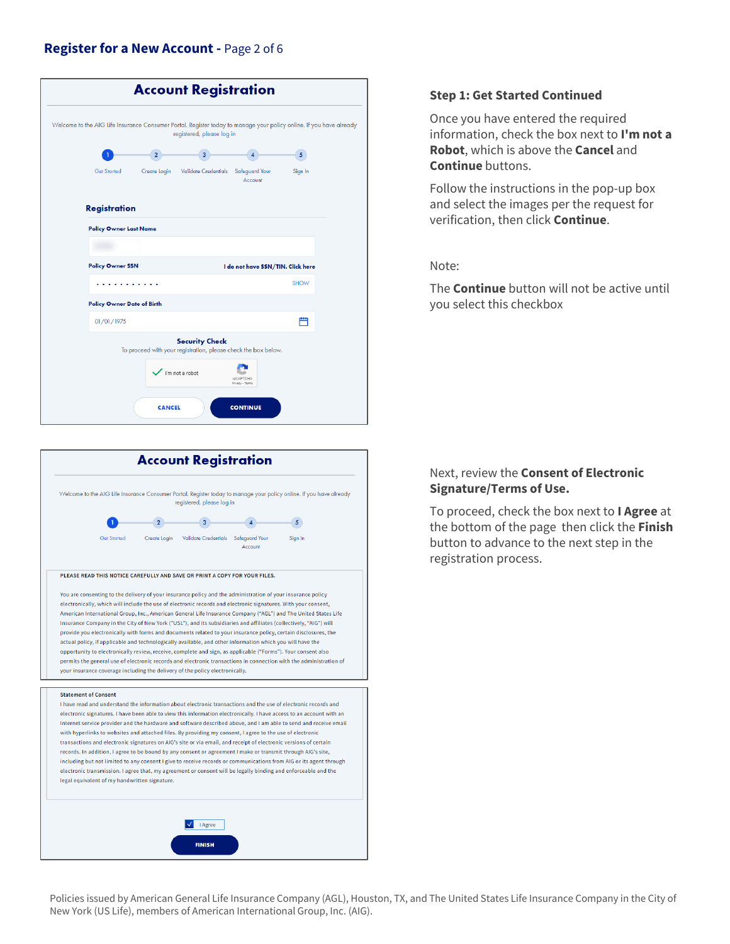## **Register for a New Account -** Page 2 of 6

| Welcome to the AIG Life Insurance Consumer Portal. Register today to manage your policy online. If you have already<br>registered, please log in |             |  |
|--------------------------------------------------------------------------------------------------------------------------------------------------|-------------|--|
| $\overline{2}$<br>3                                                                                                                              | 5           |  |
| <b>Get Started</b><br>Create Login<br>Validate Credentials Safeguard Your<br>Account                                                             | Sign In     |  |
| <b>Registration</b>                                                                                                                              |             |  |
| <b>Policy Owner Last Name</b>                                                                                                                    |             |  |
|                                                                                                                                                  |             |  |
| <b>Policy Owner SSN</b><br>I do not have SSN/TIN. Click here                                                                                     |             |  |
|                                                                                                                                                  | <b>SHOW</b> |  |
| <b>Policy Owner Date of Birth</b>                                                                                                                |             |  |
| 01/01/1975                                                                                                                                       | 屵           |  |
| <b>Security Check</b><br>To proceed with your registration, please check the box below.<br>I'm not a robot                                       |             |  |
| reCAPTCHA<br>Privacy - Terms<br><b>CANCEL</b><br><b>CONTINUE</b>                                                                                 |             |  |



#### **Step 1: Get Started Continued**

Once you have entered the required information, check the box next to **I'm not a Robot**, which is above the **Cancel** and **Continue** buttons.

Follow the instructions in the pop-up box and select the images per the request for verification, then click **Continue**.

Note:

The **Continue** button will not be active until you select this checkbox

### Next, review the **Consent of Electronic Signature/Terms of Use.**

To proceed, check the box next to **I Agree** at the bottom of the page then click the **Finish**  button to advance to the next step in the registration process.

Policies issued by American General Life Insurance Company (AGL), Houston, TX, and The United States Life Insurance Company in the City of New York (US Life), members of American International Group, Inc. (AIG).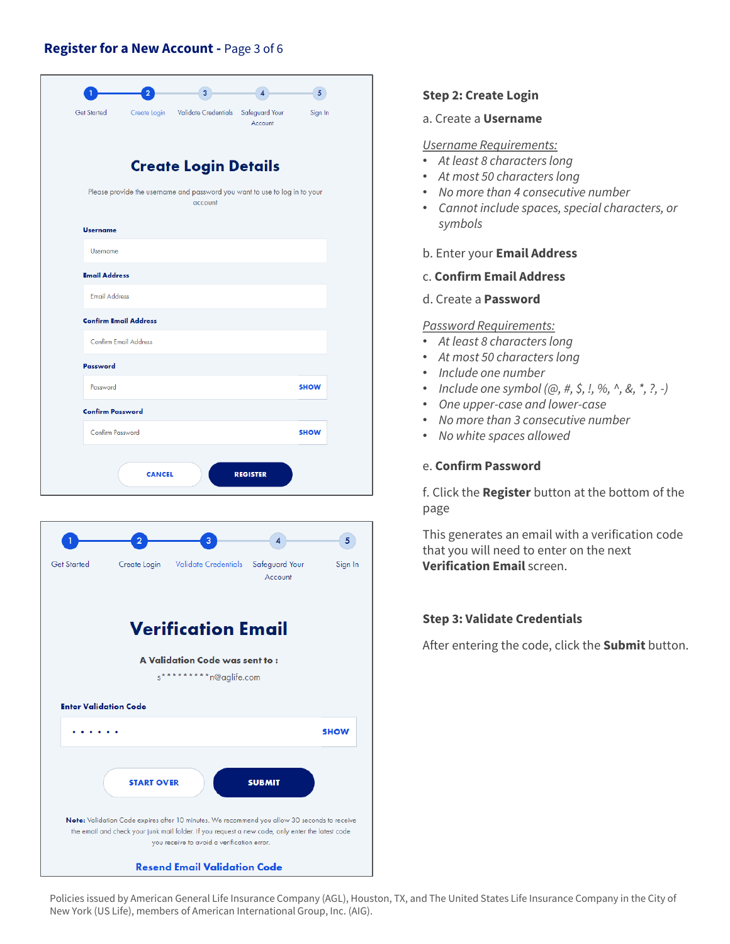## Register for a New Account - Page 3 of 6





#### **Step 2: Create Login**

a. Create a Username

#### **Username Requirements:**

- At least 8 characters long
- At most 50 characters long
- No more than 4 consecutive number
- Cannot include spaces, special characters, or symbols

#### b. Enter your Email Address

- c. Confirm Email Address
- d. Create a **Password**

#### **Password Requirements:**

- At least 8 characters long
- At most 50 characters long
- · Include one number
- Include one symbol  $(@, #, \$, !, \%, ^{\wedge}, %, *, ?, -)$
- One upper-case and lower-case
- No more than 3 consecutive number
- No white spaces allowed  $\bullet$

#### e. Confirm Password

f. Click the Register button at the bottom of the page

This generates an email with a verification code that you will need to enter on the next **Verification Email screen.** 

#### **Step 3: Validate Credentials**

After entering the code, click the Submit button.

Policies issued by American General Life Insurance Company (AGL), Houston, TX, and The United States Life Insurance Company in the City of New York (US Life), members of American International Group, Inc. (AIG).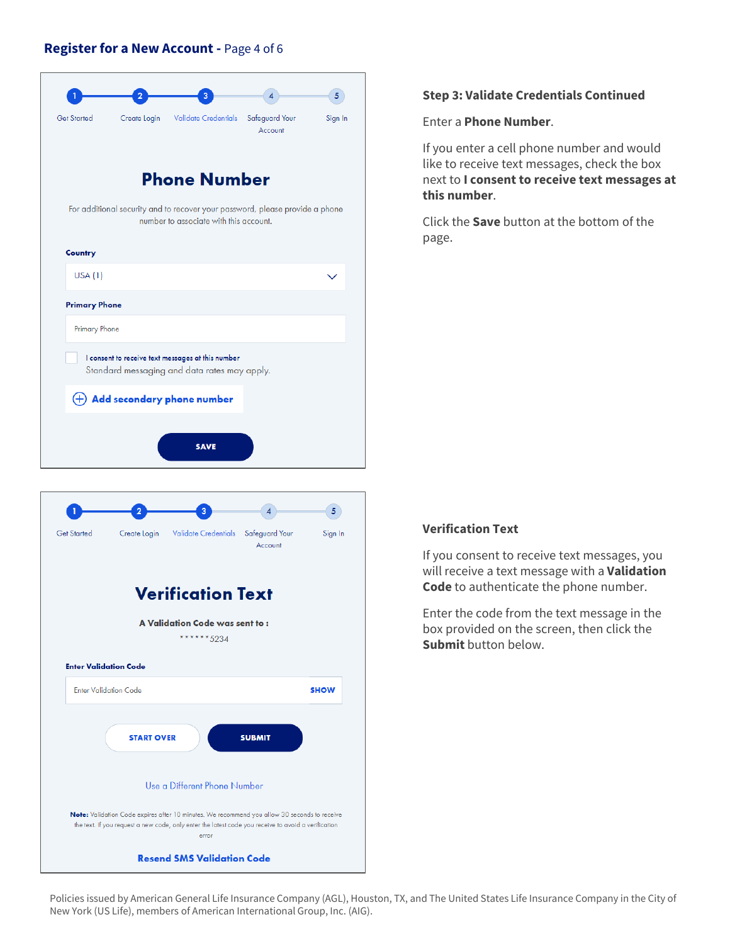## **Register for a New Account -** Page 4 of 6



## **Step 3: Validate Credentials Continued**

Enter a **Phone Number**.

If you enter a cell phone number and would like to receive text messages, check the box next to **I consent to receive text messages at this number**.

Click the **Save** button at the bottom of the page.

## **Verification Text**

If you consent to receive text messages, you will receive a text message with a **Validation Code** to authenticate the phone number.

Enter the code from the text message in the box provided on the screen, then click the **Submit** button below.

Policies issued by American General Life Insurance Company (AGL), Houston, TX, and The United States Life Insurance Company in the City of New York (US Life), members of American International Group, Inc. (AIG).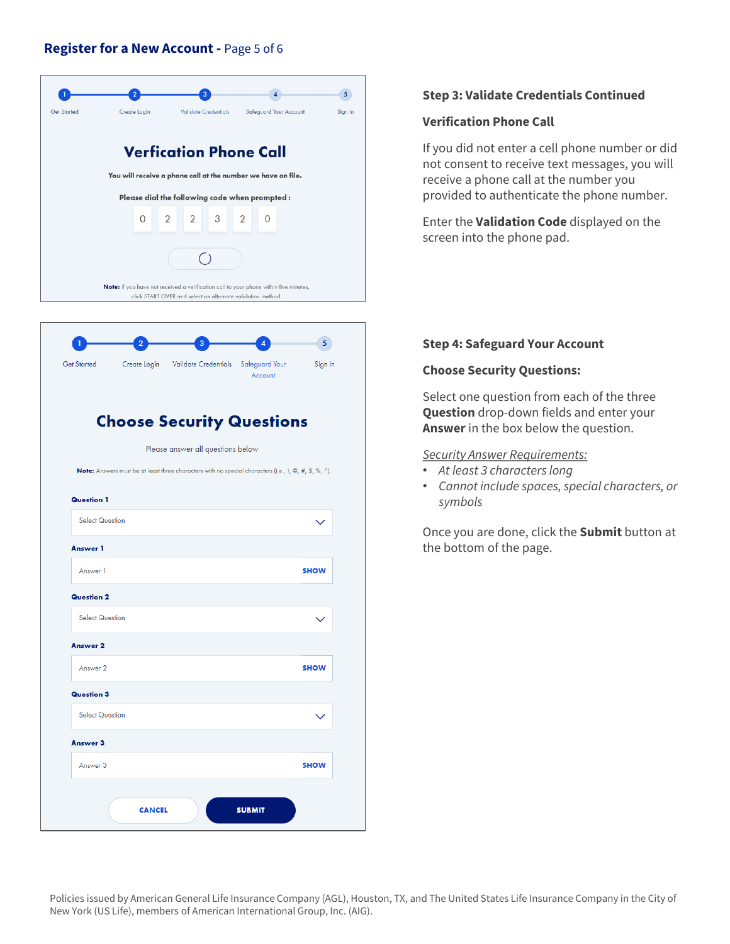## **Register for a New Account -** Page 5 of 6





## **Choose Security Questions**

Please answer all questions below

**Note:** Answers must be at least three characters with no special characters (i.e., 1, @, #, \$, %, ^).

| Answer 1               |              |
|------------------------|--------------|
|                        |              |
| Answer 1               | <b>SHOW</b>  |
| <b>Question 2</b>      |              |
| <b>Select Question</b> | $\checkmark$ |
| Answer 2               |              |
| Answer 2               | <b>SHOW</b>  |
| <b>Question 3</b>      |              |
| <b>Select Question</b> | $\checkmark$ |
| Answer 3               |              |
| Answer 3               | <b>SHOW</b>  |
|                        |              |

## **Step 3: Validate Credentials Continued**

#### **Verification Phone Call**

If you did not enter a cell phone number or did not consent to receive text messages, you will receive a phone call at the number you provided to authenticate the phone number.

Enter the **Validation Code** displayed on the screen into the phone pad.

### **Step 4: Safeguard Your Account**

### **Choose Security Questions:**

Select one question from each of the three **Question** drop-down fields and enter your **Answer** in the box below the question.

## *Security Answer Requirements:*

- *At least 3 characters long*
- *Cannot include spaces, special characters, or symbols*

Once you are done, click the **Submit** button at the bottom of the page.